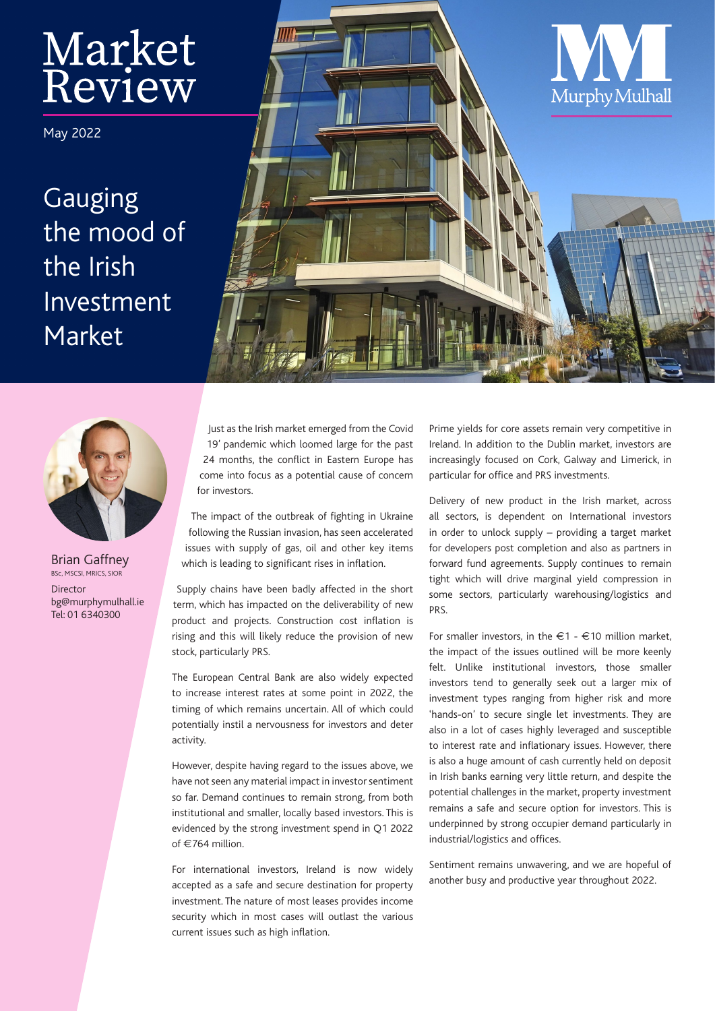# Market Review

May 2022

Gauging the mood of the Irish Investment Market





Brian Gaffney .<br>BSc, MSCSI, MRICS, SIOR Director bg@murphymulhall.ie Tel: 01 6340300

Just as the Irish market emerged from the Covid 19' pandemic which loomed large for the past 24 months, the conflict in Eastern Europe has come into focus as a potential cause of concern for investors.

The impact of the outbreak of fighting in Ukraine following the Russian invasion, has seen accelerated issues with supply of gas, oil and other key items which is leading to significant rises in inflation.

Supply chains have been badly affected in the short term, which has impacted on the deliverability of new product and projects. Construction cost inflation is rising and this will likely reduce the provision of new stock, particularly PRS.

The European Central Bank are also widely expected to increase interest rates at some point in 2022, the timing of which remains uncertain. All of which could potentially instil a nervousness for investors and deter activity.

However, despite having regard to the issues above, we have not seen any material impact in investor sentiment so far. Demand continues to remain strong, from both institutional and smaller, locally based investors. This is evidenced by the strong investment spend in Q1 2022 of  $€764$  million.

For international investors, Ireland is now widely accepted as a safe and secure destination for property investment. The nature of most leases provides income security which in most cases will outlast the various current issues such as high inflation.

Prime yields for core assets remain very competitive in Ireland. In addition to the Dublin market, investors are increasingly focused on Cork, Galway and Limerick, in particular for office and PRS investments.

Delivery of new product in the Irish market, across all sectors, is dependent on International investors in order to unlock supply – providing a target market for developers post completion and also as partners in forward fund agreements. Supply continues to remain tight which will drive marginal yield compression in some sectors, particularly warehousing/logistics and PRS.

For smaller investors, in the  $\epsilon$ 1 -  $\epsilon$ 10 million market, the impact of the issues outlined will be more keenly felt. Unlike institutional investors, those smaller investors tend to generally seek out a larger mix of investment types ranging from higher risk and more 'hands-on' to secure single let investments. They are also in a lot of cases highly leveraged and susceptible to interest rate and inflationary issues. However, there is also a huge amount of cash currently held on deposit in Irish banks earning very little return, and despite the potential challenges in the market, property investment remains a safe and secure option for investors. This is underpinned by strong occupier demand particularly in industrial/logistics and offices.

Sentiment remains unwavering, and we are hopeful of another busy and productive year throughout 2022.